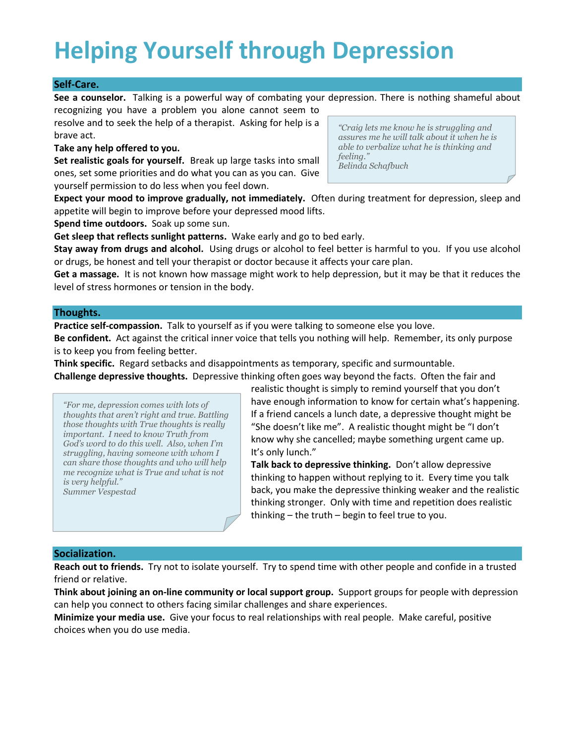# **Helping Yourself through Depression**

# **Self-Care.**

**See a counselor.** Talking is a powerful way of combating your depression. There is nothing shameful about

recognizing you have a problem you alone cannot seem to resolve and to seek the help of a therapist. Asking for help is a brave act.

### **Take any help offered to you.**

**Set realistic goals for yourself.** Break up large tasks into small ones, set some priorities and do what you can as you can. Give yourself permission to do less when you feel down.

*"Craig lets me know he is struggling and assures me he will talk about it when he is able to verbalize what he is thinking and feeling." Belinda Schafbuch*

**Expect your mood to improve gradually, not immediately.** Often during treatment for depression, sleep and appetite will begin to improve before your depressed mood lifts.

**Spend time outdoors.** Soak up some sun.

**Get sleep that reflects sunlight patterns.** Wake early and go to bed early.

**Stay away from drugs and alcohol.** Using drugs or alcohol to feel better is harmful to you. If you use alcohol or drugs, be honest and tell your therapist or doctor because it affects your care plan.

**Get a massage.** It is not known how massage might work to help depression, but it may be that it reduces the level of stress hormones or tension in the body.

## **Thoughts.**

**Practice self-compassion.** Talk to yourself as if you were talking to someone else you love.

**Be confident.** Act against the critical inner voice that tells you nothing will help. Remember, its only purpose is to keep you from feeling better.

**Think specific.** Regard setbacks and disappointments as temporary, specific and surmountable.

**Challenge depressive thoughts.** Depressive thinking often goes way beyond the facts. Often the fair and

*"For me, depression comes with lots of thoughts that aren't right and true. Battling those thoughts with True thoughts is really important. I need to know Truth from God's word to do this well. Also, when I'm struggling, having someone with whom I can share those thoughts and who will help me recognize what is True and what is not is very helpful." Summer Vespestad*

realistic thought is simply to remind yourself that you don't have enough information to know for certain what's happening. If a friend cancels a lunch date, a depressive thought might be "She doesn't like me". A realistic thought might be "I don't know why she cancelled; maybe something urgent came up. It's only lunch."

**Talk back to depressive thinking.** Don't allow depressive thinking to happen without replying to it. Every time you talk back, you make the depressive thinking weaker and the realistic thinking stronger. Only with time and repetition does realistic thinking – the truth – begin to feel true to you.

### **Socialization.**

**Reach out to friends.** Try not to isolate yourself. Try to spend time with other people and confide in a trusted friend or relative.

**Think about joining an on-line community or local support group.** Support groups for people with depression can help you connect to others facing similar challenges and share experiences.

**Minimize your media use.** Give your focus to real relationships with real people. Make careful, positive choices when you do use media.